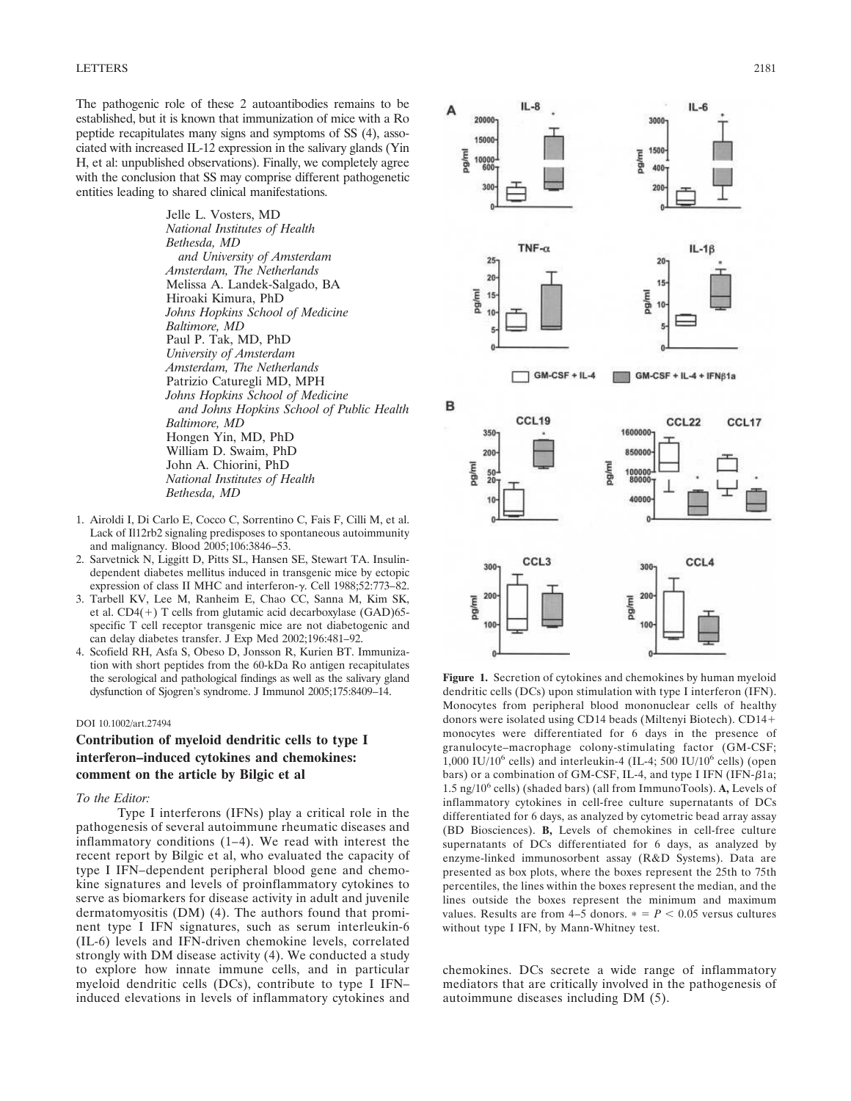The pathogenic role of these 2 autoantibodies remains to be established, but it is known that immunization of mice with a Ro peptide recapitulates many signs and symptoms of SS (4), associated with increased IL-12 expression in the salivary glands (Yin H, et al: unpublished observations). Finally, we completely agree with the conclusion that SS may comprise different pathogenetic entities leading to shared clinical manifestations.

> Jelle L. Vosters, MD *National Institutes of Health Bethesda, MD and University of Amsterdam Amsterdam, The Netherlands* Melissa A. Landek-Salgado, BA Hiroaki Kimura, PhD *Johns Hopkins School of Medicine Baltimore, MD* Paul P. Tak, MD, PhD *University of Amsterdam Amsterdam, The Netherlands* Patrizio Caturegli MD, MPH *Johns Hopkins School of Medicine and Johns Hopkins School of Public Health Baltimore, MD* Hongen Yin, MD, PhD William D. Swaim, PhD John A. Chiorini, PhD *National Institutes of Health Bethesda, MD*

- 1. Airoldi I, Di Carlo E, Cocco C, Sorrentino C, Fais F, Cilli M, et al. Lack of Il12rb2 signaling predisposes to spontaneous autoimmunity and malignancy. Blood 2005;106:3846–53.
- 2. Sarvetnick N, Liggitt D, Pitts SL, Hansen SE, Stewart TA. Insulindependent diabetes mellitus induced in transgenic mice by ectopic expression of class II MHC and interferon- $\gamma$ . Cell 1988;52:773-82.
- 3. Tarbell KV, Lee M, Ranheim E, Chao CC, Sanna M, Kim SK, et al.  $CD4(+)$  T cells from glutamic acid decarboxylase (GAD)65specific T cell receptor transgenic mice are not diabetogenic and can delay diabetes transfer. J Exp Med 2002;196:481–92.
- 4. Scofield RH, Asfa S, Obeso D, Jonsson R, Kurien BT. Immunization with short peptides from the 60-kDa Ro antigen recapitulates the serological and pathological findings as well as the salivary gland dysfunction of Sjogren's syndrome. J Immunol 2005;175:8409–14.

#### DOI 10.1002/art.27494

# **Contribution of myeloid dendritic cells to type I interferon–induced cytokines and chemokines: comment on the article by Bilgic et al**

#### *To the Editor:*

Type I interferons (IFNs) play a critical role in the pathogenesis of several autoimmune rheumatic diseases and inflammatory conditions (1–4). We read with interest the recent report by Bilgic et al, who evaluated the capacity of type I IFN–dependent peripheral blood gene and chemokine signatures and levels of proinflammatory cytokines to serve as biomarkers for disease activity in adult and juvenile dermatomyositis (DM) (4). The authors found that prominent type I IFN signatures, such as serum interleukin-6 (IL-6) levels and IFN-driven chemokine levels, correlated strongly with DM disease activity (4). We conducted a study to explore how innate immune cells, and in particular myeloid dendritic cells (DCs), contribute to type I IFN– induced elevations in levels of inflammatory cytokines and



**Figure 1.** Secretion of cytokines and chemokines by human myeloid dendritic cells (DCs) upon stimulation with type I interferon (IFN). Monocytes from peripheral blood mononuclear cells of healthy donors were isolated using CD14 beads (Miltenyi Biotech). CD14 monocytes were differentiated for 6 days in the presence of granulocyte–macrophage colony-stimulating factor (GM-CSF; 1,000 IU/10<sup>6</sup> cells) and interleukin-4 (IL-4; 500 IU/10<sup>6</sup> cells) (open bars) or a combination of GM-CSF, IL-4, and type I IFN (IFN- $\beta$ 1a; 1.5 ng/10<sup>6</sup> cells) (shaded bars) (all from ImmunoTools). **A,** Levels of inflammatory cytokines in cell-free culture supernatants of DCs differentiated for 6 days, as analyzed by cytometric bead array assay (BD Biosciences). **B,** Levels of chemokines in cell-free culture supernatants of DCs differentiated for 6 days, as analyzed by enzyme-linked immunosorbent assay (R&D Systems). Data are presented as box plots, where the boxes represent the 25th to 75th percentiles, the lines within the boxes represent the median, and the lines outside the boxes represent the minimum and maximum values. Results are from  $4-5$  donors.  $* = P < 0.05$  versus cultures without type I IFN, by Mann-Whitney test.

chemokines. DCs secrete a wide range of inflammatory mediators that are critically involved in the pathogenesis of autoimmune diseases including DM (5).